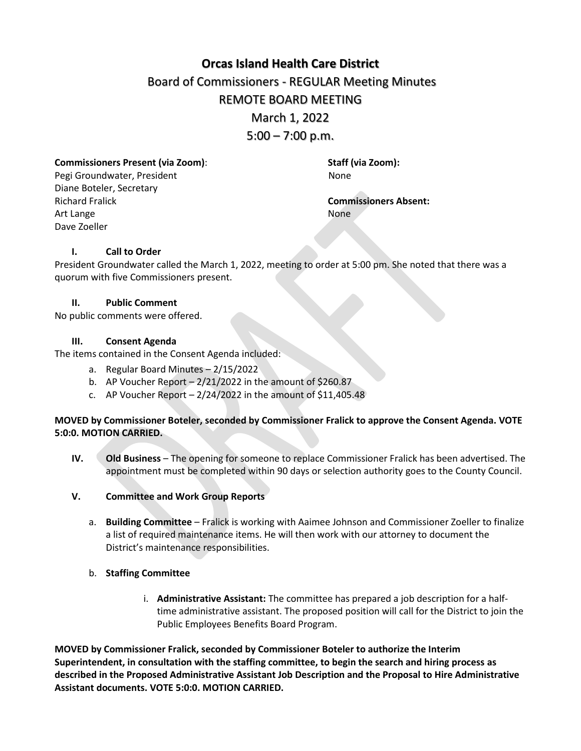# **[Orcas Island Health Care District](https://docs.google.com/document/d/1Ry8pgZ_nPvvmr9hj0f-9LE0fctWbFRHEpPoSe_gNVRw/edit?usp=sharing)** Board of Commissioners - REGULAR Meeting Minutes REMOTE BOARD MEETING March 1, 2022  $5:00 - 7:00$  p.m.

**Commissioners Present (via Zoom)**: **Staff (via Zoom):**

Pegi Groundwater, President None Diane Boteler, Secretary Richard Fralick **Commissioners Absent:** Art Lange None Dave Zoeller

## **I. Call to Order**

President Groundwater called the March 1, 2022, meeting to order at 5:00 pm. She noted that there was a quorum with five Commissioners present.

## **II. Public Comment**

No public comments were offered.

#### **III. Consent Agenda**

The items contained in the Consent Agenda included:

- a. Regular Board Minutes 2/15/2022
- b. AP Voucher Report  $-2/21/2022$  in the amount of \$260.87
- c. AP Voucher Report  $-2/24/2022$  in the amount of \$11,405.48

## **MOVED by Commissioner Boteler, seconded by Commissioner Fralick to approve the Consent Agenda. VOTE 5:0:0. MOTION CARRIED.**

- **IV. Old Business** The opening for someone to replace Commissioner Fralick has been advertised. The appointment must be completed within 90 days or selection authority goes to the County Council.
- **V. Committee and Work Group Reports**
	- a. **Building Committee** Fralick is working with Aaimee Johnson and Commissioner Zoeller to finalize a list of required maintenance items. He will then work with our attorney to document the District's maintenance responsibilities.

## b. **Staffing Committee**

i. **Administrative Assistant:** The committee has prepared a job description for a halftime administrative assistant. The proposed position will call for the District to join the Public Employees Benefits Board Program.

**MOVED by Commissioner Fralick, seconded by Commissioner Boteler to authorize the Interim Superintendent, in consultation with the staffing committee, to begin the search and hiring process as described in the Proposed Administrative Assistant Job Description and the Proposal to Hire Administrative Assistant documents. VOTE 5:0:0. MOTION CARRIED.**